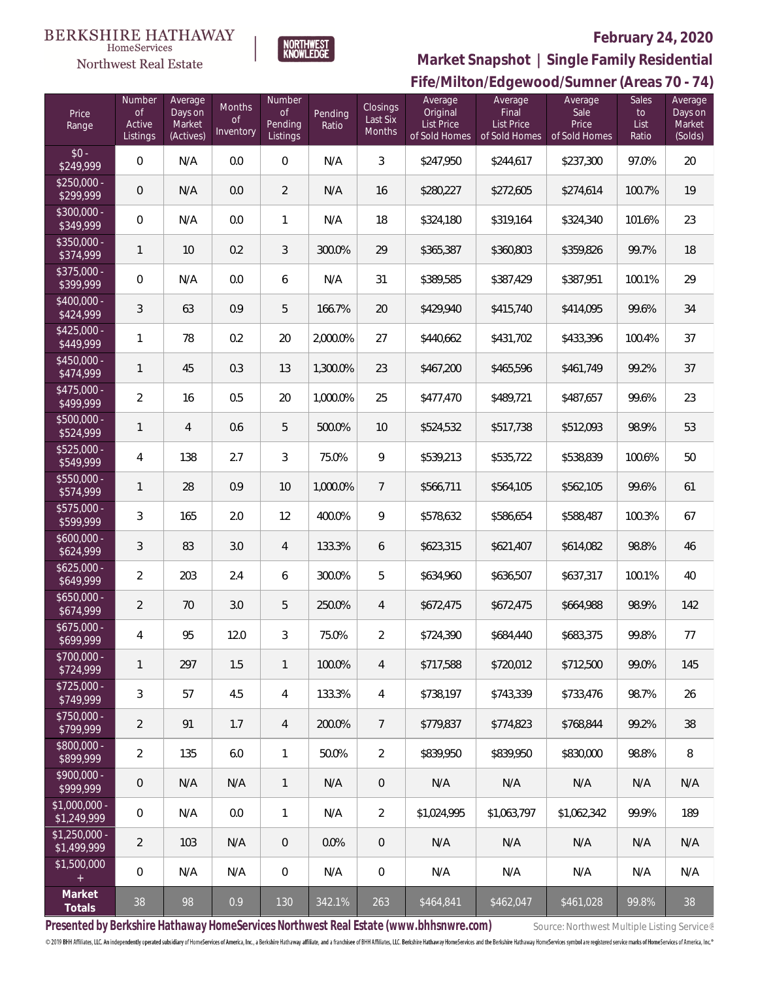#### **BERKSHIRE HATHAWAY** HomeServices





# **February 24, 2020**

**Fife/Milton/Edgewood/Sumner (Areas 70 - 74) Market Snapshot | Single Family Residential**

| Price<br>Range                | Number<br><b>of</b><br>Active<br>Listings | Average<br>Days on<br>Market<br>(Actives) | Months<br><b>of</b><br>Inventory | Number<br><b>of</b><br>Pending<br>Listings | Pending<br>Ratio | Closings<br>Last Six<br>Months | Average<br>Original<br>List Price<br>of Sold Homes | Average<br>Final<br><b>List Price</b><br>of Sold Homes | Average<br>Sale<br>Price<br>of Sold Homes | Sales<br>to<br>List<br>Ratio | Average<br>Days on<br>Market<br>(Solds) |
|-------------------------------|-------------------------------------------|-------------------------------------------|----------------------------------|--------------------------------------------|------------------|--------------------------------|----------------------------------------------------|--------------------------------------------------------|-------------------------------------------|------------------------------|-----------------------------------------|
| $$0 -$<br>\$249,999           | 0                                         | N/A                                       | 0.0                              | $\overline{0}$                             | N/A              | $\overline{3}$                 | \$247,950                                          | \$244,617                                              | \$237,300                                 | 97.0%                        | 20                                      |
| $$250,000 -$<br>\$299,999     | $\overline{0}$                            | N/A                                       | 0.0                              | $\overline{2}$                             | N/A              | 16                             | \$280,227                                          | \$272,605                                              | \$274,614                                 | 100.7%                       | 19                                      |
| $$300,000 -$<br>\$349,999     | $\overline{0}$                            | N/A                                       | 0.0                              | $\mathbf{1}$                               | N/A              | 18                             | \$324,180                                          | \$319,164                                              | \$324,340                                 | 101.6%                       | 23                                      |
| $$350,000 -$<br>\$374,999     | $\mathbf{1}$                              | 10                                        | 0.2                              | $\mathfrak{Z}$                             | 300.0%           | 29                             | \$365,387                                          | \$360,803                                              | \$359,826                                 | 99.7%                        | 18                                      |
| $$375,000 -$<br>\$399,999     | $\overline{0}$                            | N/A                                       | 0.0                              | 6                                          | N/A              | 31                             | \$389,585                                          | \$387,429                                              | \$387,951                                 | 100.1%                       | 29                                      |
| $$400,000 -$<br>\$424,999     | $\mathfrak{Z}$                            | 63                                        | 0.9                              | 5                                          | 166.7%           | 20                             | \$429,940                                          | \$415,740                                              | \$414,095                                 | 99.6%                        | 34                                      |
| $$425,000 -$<br>\$449,999     | $\mathbf{1}$                              | 78                                        | 0.2                              | 20                                         | 2,000.0%         | 27                             | \$440,662                                          | \$431,702                                              | \$433,396                                 | 100.4%                       | 37                                      |
| $$450,000 -$<br>\$474,999     | $\mathbf{1}$                              | 45                                        | 0.3                              | 13                                         | 1,300.0%         | 23                             | \$467,200                                          | \$465,596                                              | \$461,749                                 | 99.2%                        | 37                                      |
| $$475,000 -$<br>\$499,999     | $\overline{2}$                            | 16                                        | 0.5                              | 20                                         | 1,000.0%         | 25                             | \$477,470                                          | \$489,721                                              | \$487,657                                 | 99.6%                        | 23                                      |
| $$500,000 -$<br>\$524,999     | $\mathbf{1}$                              | $\overline{4}$                            | 0.6                              | 5                                          | 500.0%           | 10                             | \$524,532                                          | \$517,738                                              | \$512,093                                 | 98.9%                        | 53                                      |
| $$525,000 -$<br>\$549,999     | $\overline{4}$                            | 138                                       | 2.7                              | 3                                          | 75.0%            | 9                              | \$539,213                                          | \$535,722                                              | \$538,839                                 | 100.6%                       | 50                                      |
| \$550,000 -<br>\$574,999      | $\mathbf{1}$                              | 28                                        | 0.9                              | 10                                         | 1,000.0%         | $\overline{7}$                 | \$566,711                                          | \$564,105                                              | \$562,105                                 | 99.6%                        | 61                                      |
| $$575,000 -$<br>\$599,999     | 3                                         | 165                                       | 2.0                              | 12                                         | 400.0%           | 9                              | \$578,632                                          | \$586,654                                              | \$588,487                                 | 100.3%                       | 67                                      |
| $$600,000 -$<br>\$624,999     | 3                                         | 83                                        | 3.0                              | $\overline{4}$                             | 133.3%           | 6                              | \$623,315                                          | \$621,407                                              | \$614,082                                 | 98.8%                        | 46                                      |
| $$625,000 -$<br>\$649,999     | $\overline{2}$                            | 203                                       | 2.4                              | 6                                          | 300.0%           | 5                              | \$634,960                                          | \$636,507                                              | \$637,317                                 | 100.1%                       | 40                                      |
| $$650,000 -$<br>\$674,999     | $\overline{2}$                            | 70                                        | 3.0                              | 5                                          | 250.0%           | $\overline{4}$                 | \$672,475                                          | \$672,475                                              | \$664,988                                 | 98.9%                        | 142                                     |
| $$675,000 -$<br>\$699,999     | $\sqrt{4}$                                | 95                                        | 12.0                             | $\mathfrak{Z}$                             | 75.0%            | $\overline{2}$                 | \$724,390                                          | \$684,440                                              | \$683,375                                 | 99.8%                        | 77                                      |
| $$700,000 -$<br>\$724,999     | $\mathbf{1}$                              | 297                                       | 1.5                              | $\mathbf{1}$                               | 100.0%           | 4                              | \$717,588                                          | \$720,012                                              | \$712,500                                 | 99.0%                        | 145                                     |
| $$725,000 -$<br>\$749,999     | $\mathfrak{Z}$                            | 57                                        | 4.5                              | $\overline{4}$                             | 133.3%           | 4                              | \$738,197                                          | \$743,339                                              | \$733,476                                 | 98.7%                        | 26                                      |
| $$750,000 -$<br>\$799,999     | $\overline{2}$                            | 91                                        | 1.7                              | 4                                          | 200.0%           | 7                              | \$779,837                                          | \$774,823                                              | \$768,844                                 | 99.2%                        | $38\,$                                  |
| $$800,000 -$<br>\$899,999     | $\overline{2}$                            | 135                                       | 6.0                              | $\mathbf{1}$                               | 50.0%            | $\overline{2}$                 | \$839,950                                          | \$839,950                                              | \$830,000                                 | 98.8%                        | 8                                       |
| $$900,000 -$<br>\$999,999     | $\mathsf{O}\xspace$                       | N/A                                       | N/A                              | $\mathbf{1}$                               | N/A              | $\mathbf 0$                    | N/A                                                | N/A                                                    | N/A                                       | N/A                          | N/A                                     |
| $$1,000,000 -$<br>\$1,249,999 | 0                                         | N/A                                       | 0.0                              | $\mathbf{1}$                               | N/A              | $\overline{2}$                 | \$1,024,995                                        | \$1,063,797                                            | \$1,062,342                               | 99.9%                        | 189                                     |
| $$1,250,000 -$<br>\$1,499,999 | $\overline{2}$                            | 103                                       | N/A                              | $\,0\,$                                    | 0.0%             | $\mathbf 0$                    | N/A                                                | N/A                                                    | N/A                                       | N/A                          | N/A                                     |
| \$1,500,000<br>$+$            | 0                                         | N/A                                       | N/A                              | $\,0\,$                                    | N/A              | $\boldsymbol{0}$               | N/A                                                | N/A                                                    | N/A                                       | N/A                          | N/A                                     |
| Market<br>Totals              | 38                                        | 98                                        | 0.9                              | 130                                        | 342.1%           | 263                            | \$464,841                                          | \$462,047                                              | \$461,028                                 | 99.8%                        | 38                                      |

Presented by Berkshire Hathaway HomeServices Northwest Real Estate (www.bhhsnwre.com) Source: Northwest Multiple Listing Service®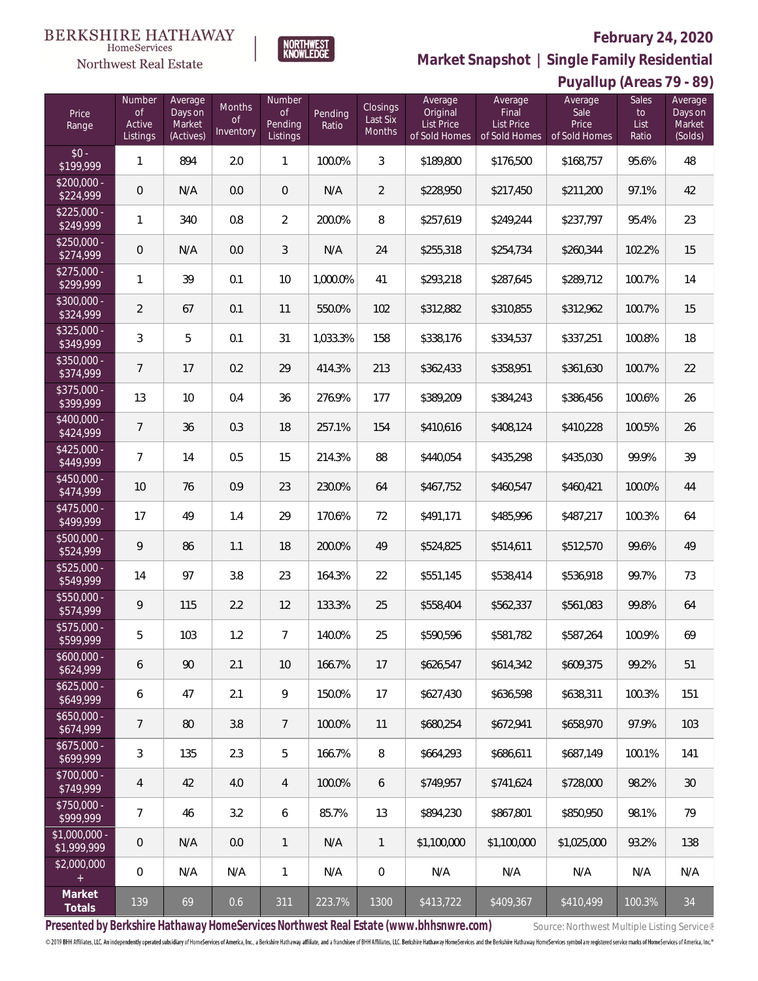## **February 24, 2020**

**Puyallup (Areas 79 - 89)**



**Market Snapshot | Single Family Residential**

#### **BERKSHIRE HATHAWAY** NORTHWEST<br>KNOWLEDGE

HomeServices Northwest Real Estate

| Price<br>Range                | Number<br><b>of</b><br>Active<br>Listings | Average<br>Days on<br>Market<br>(Actives) | <b>Months</b><br><b>of</b><br>Inventory | Number<br>$\mathsf{of}$<br>Pending<br>Listings | Pending<br>Ratio | Closings<br>Last Six<br>Months | Average<br>Original<br>List Price<br>of Sold Homes | Average<br>Final<br><b>List Price</b><br>of Sold Homes | Average<br>Sale<br>Price<br>of Sold Homes | Sales<br>to<br>List<br>Ratio | Average<br>Days on<br>Market<br>(Solds) |
|-------------------------------|-------------------------------------------|-------------------------------------------|-----------------------------------------|------------------------------------------------|------------------|--------------------------------|----------------------------------------------------|--------------------------------------------------------|-------------------------------------------|------------------------------|-----------------------------------------|
| $$0 -$<br>\$199,999           | $\mathbf{1}$                              | 894                                       | 2.0                                     | $\mathbf{1}$                                   | 100.0%           | $\mathfrak{Z}$                 | \$189,800                                          | \$176,500                                              | \$168,757                                 | 95.6%                        | 48                                      |
| $$200,000 -$<br>\$224,999     | $\overline{0}$                            | N/A                                       | 0.0                                     | $\overline{0}$                                 | N/A              | $\overline{2}$                 | \$228,950                                          | \$217,450                                              | \$211,200                                 | 97.1%                        | 42                                      |
| $$225,000 -$<br>\$249,999     | $\mathbf{1}$                              | 340                                       | 0.8                                     | $\overline{2}$                                 | 200.0%           | 8                              | \$257,619                                          | \$249,244                                              | \$237,797                                 | 95.4%                        | 23                                      |
| $$250,000 -$<br>\$274,999     | $\overline{0}$                            | N/A                                       | 0.0                                     | 3                                              | N/A              | 24                             | \$255,318                                          | \$254,734                                              | \$260,344                                 | 102.2%                       | 15                                      |
| $$275,000 -$<br>\$299,999     | $\mathbf{1}$                              | 39                                        | 0.1                                     | 10                                             | 1,000.0%         | 41                             | \$293,218                                          | \$287,645                                              | \$289,712                                 | 100.7%                       | 14                                      |
| \$300,000 -<br>\$324,999      | $\overline{2}$                            | 67                                        | 0.1                                     | 11                                             | 550.0%           | 102                            | \$312,882                                          | \$310,855                                              | \$312,962                                 | 100.7%                       | 15                                      |
| $$325,000 -$<br>\$349,999     | 3                                         | 5                                         | 0.1                                     | 31                                             | 1,033.3%         | 158                            | \$338,176                                          | \$334,537                                              | \$337,251                                 | 100.8%                       | 18                                      |
| \$350,000 -<br>\$374,999      | $\overline{7}$                            | 17                                        | 0.2                                     | 29                                             | 414.3%           | 213                            | \$362,433                                          | \$358,951                                              | \$361,630                                 | 100.7%                       | 22                                      |
| \$375,000 -<br>\$399,999      | 13                                        | 10                                        | 0.4                                     | 36                                             | 276.9%           | 177                            | \$389,209                                          | \$384,243                                              | \$386,456                                 | 100.6%                       | 26                                      |
| \$400,000 -<br>\$424,999      | $\overline{7}$                            | 36                                        | 0.3                                     | 18                                             | 257.1%           | 154                            | \$410,616                                          | \$408,124                                              | \$410,228                                 | 100.5%                       | 26                                      |
| $$425,000 -$<br>\$449,999     | $7\overline{ }$                           | 14                                        | 0.5                                     | 15                                             | 214.3%           | 88                             | \$440,054                                          | \$435,298                                              | \$435,030                                 | 99.9%                        | 39                                      |
| \$450,000 -<br>\$474,999      | $10$                                      | 76                                        | 0.9                                     | 23                                             | 230.0%           | 64                             | \$467,752                                          | \$460,547                                              | \$460,421                                 | 100.0%                       | 44                                      |
| \$475,000 -<br>\$499,999      | 17                                        | 49                                        | 1.4                                     | 29                                             | 170.6%           | 72                             | \$491,171                                          | \$485,996                                              | \$487,217                                 | 100.3%                       | 64                                      |
| \$500,000 -<br>\$524,999      | 9                                         | 86                                        | 1.1                                     | 18                                             | 200.0%           | 49                             | \$524,825                                          | \$514,611                                              | \$512,570                                 | 99.6%                        | 49                                      |
| \$525,000 -<br>\$549,999      | 14                                        | 97                                        | 3.8                                     | 23                                             | 164.3%           | 22                             | \$551,145                                          | \$538,414                                              | \$536,918                                 | 99.7%                        | 73                                      |
| \$550,000 -<br>\$574,999      | 9                                         | 115                                       | 2.2                                     | 12                                             | 133.3%           | 25                             | \$558,404                                          | \$562,337                                              | \$561,083                                 | 99.8%                        | 64                                      |
| \$575,000 -<br>\$599,999      | 5                                         | 103                                       | 1.2                                     | $\overline{7}$                                 | 140.0%           | 25                             | \$590,596                                          | \$581,782                                              | \$587,264                                 | 100.9%                       | 69                                      |
| $$600,000 -$<br>\$624,999     | 6                                         | 90                                        | 2.1                                     | 10                                             | 166.7%           | 17                             | \$626,547                                          | \$614,342                                              | \$609,375                                 | 99.2%                        | 51                                      |
| $$625,000 -$<br>\$649,999     | 6                                         | 47                                        | 2.1                                     | 9                                              | 150.0%           | 17                             | \$627,430                                          | \$636,598                                              | \$638,311                                 | 100.3%                       | 151                                     |
| $$650,000 -$<br>\$674,999     | 7                                         | 80                                        | 3.8                                     | 7                                              | 100.0%           | 11                             | \$680,254                                          | \$672,941                                              | \$658,970                                 | 97.9%                        | 103                                     |
| $$675,000 -$<br>\$699,999     | $\mathfrak{Z}$                            | 135                                       | 2.3                                     | 5                                              | 166.7%           | 8                              | \$664,293                                          | \$686,611                                              | \$687,149                                 | 100.1%                       | 141                                     |
| \$700,000 -<br>\$749,999      | 4                                         | 42                                        | 4.0                                     | 4                                              | 100.0%           | 6                              | \$749.957                                          | \$741,624                                              | \$728,000                                 | 98.2%                        | $30\,$                                  |
| \$750,000 -<br>\$999,999      | $\overline{7}$                            | 46                                        | 3.2                                     | 6                                              | 85.7%            | 13                             | \$894,230                                          | \$867,801                                              | \$850,950                                 | 98.1%                        | 79                                      |
| $$1,000,000 -$<br>\$1,999,999 | $\mathbf 0$                               | N/A                                       | 0.0                                     | $\mathbf{1}$                                   | N/A              | $\mathbf{1}$                   | \$1,100,000                                        | \$1,100,000                                            | \$1,025,000                               | 93.2%                        | 138                                     |
| \$2,000,000<br>$+$            | $\boldsymbol{0}$                          | N/A                                       | N/A                                     | $\mathbf{1}$                                   | N/A              | $\mathbf 0$                    | N/A                                                | N/A                                                    | N/A                                       | N/A                          | N/A                                     |
| Market<br>Totals              | 139                                       | 69                                        | 0.6                                     | 311                                            | 223.7%           | 1300                           | \$413,722                                          | \$409,367                                              | \$410,499                                 | 100.3%                       | 34                                      |

Presented by Berkshire Hathaway HomeServices Northwest Real Estate (www.bhhsnwre.com) Source: Northwest Multiple Listing Service®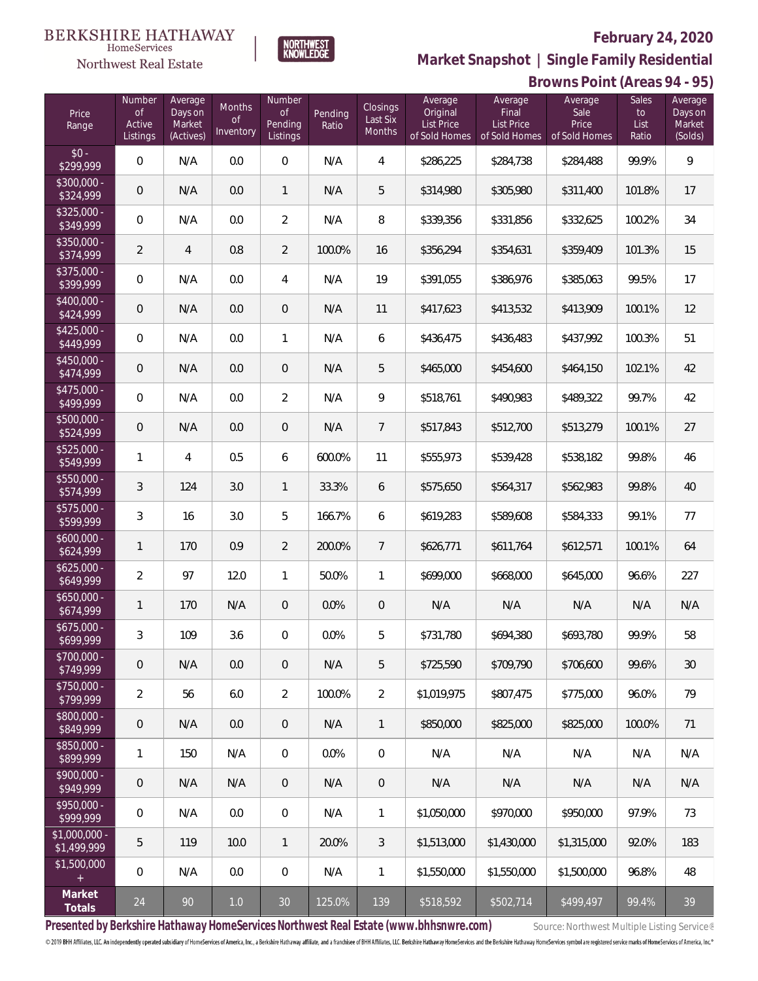## **February 24, 2020**



**Market Snapshot | Single Family Residential**

#### $\label{lem:sevices} \textsc{Home} \textsc{Service} \textsc{s}$ Northwest Real Estate

|                               | Browns Point (Areas 94 - 95)       |                                           |                                  |                                            |                  |                                |                                                    |                                                        |                                           |                              |                                         |
|-------------------------------|------------------------------------|-------------------------------------------|----------------------------------|--------------------------------------------|------------------|--------------------------------|----------------------------------------------------|--------------------------------------------------------|-------------------------------------------|------------------------------|-----------------------------------------|
| Price<br>Range                | Number<br>Οf<br>Active<br>Listings | Average<br>Days on<br>Market<br>(Actives) | Months<br><b>of</b><br>Inventory | Number<br><b>of</b><br>Pending<br>Listings | Pending<br>Ratio | Closings<br>Last Six<br>Months | Average<br>Original<br>List Price<br>of Sold Homes | Average<br>Final<br><b>List Price</b><br>of Sold Homes | Average<br>Sale<br>Price<br>of Sold Homes | Sales<br>to<br>List<br>Ratio | Average<br>Days on<br>Market<br>(Solds) |
| $$0 -$<br>\$299,999           | $\boldsymbol{0}$                   | N/A                                       | 0.0                              | $\,0\,$                                    | N/A              | 4                              | \$286,225                                          | \$284,738                                              | \$284,488                                 | 99.9%                        | 9                                       |
| \$300,000 -<br>\$324,999      | $\mathbf 0$                        | N/A                                       | 0.0                              | $\mathbf{1}$                               | N/A              | 5                              | \$314,980                                          | \$305,980                                              | \$311,400                                 | 101.8%                       | 17                                      |
| $$325,000 -$<br>\$349,999     | 0                                  | N/A                                       | 0.0                              | $\overline{2}$                             | N/A              | 8                              | \$339,356                                          | \$331,856                                              | \$332,625                                 | 100.2%                       | 34                                      |
| \$350,000 -<br>\$374,999      | $\overline{2}$                     | 4                                         | 0.8                              | $\overline{2}$                             | 100.0%           | 16                             | \$356,294                                          | \$354,631                                              | \$359,409                                 | 101.3%                       | 15                                      |
| \$375,000 -<br>\$399,999      | 0                                  | N/A                                       | 0.0                              | $\overline{4}$                             | N/A              | 19                             | \$391,055                                          | \$386,976                                              | \$385,063                                 | 99.5%                        | 17                                      |
| \$400,000 -<br>\$424,999      | $\mathsf{O}\xspace$                | N/A                                       | 0.0                              | $\mathbf 0$                                | N/A              | 11                             | \$417,623                                          | \$413,532                                              | \$413,909                                 | 100.1%                       | 12                                      |
| $$425,000 -$<br>\$449,999     | 0                                  | N/A                                       | 0.0                              | $\mathbf{1}$                               | N/A              | 6                              | \$436,475                                          | \$436,483                                              | \$437,992                                 | 100.3%                       | 51                                      |
| $$450,000 -$<br>\$474,999     | $\mathbf 0$                        | N/A                                       | 0.0                              | $\mathbf 0$                                | N/A              | 5                              | \$465,000                                          | \$454,600                                              | \$464,150                                 | 102.1%                       | 42                                      |
| $$475,000 -$<br>\$499,999     | 0                                  | N/A                                       | 0.0                              | $\overline{2}$                             | N/A              | 9                              | \$518,761                                          | \$490,983                                              | \$489,322                                 | 99.7%                        | 42                                      |
| \$500,000 -<br>\$524,999      | $\mathbf 0$                        | N/A                                       | 0.0                              | $\mathbf 0$                                | N/A              | $\overline{7}$                 | \$517,843                                          | \$512,700                                              | \$513,279                                 | 100.1%                       | 27                                      |
| \$525,000 -<br>\$549,999      | 1                                  | 4                                         | 0.5                              | 6                                          | 600.0%           | 11                             | \$555,973                                          | \$539,428                                              | \$538,182                                 | 99.8%                        | 46                                      |
| $$550,000 -$<br>\$574,999     | $\sqrt{3}$                         | 124                                       | 3.0                              | $\mathbf{1}$                               | 33.3%            | 6                              | \$575,650                                          | \$564,317                                              | \$562,983                                 | 99.8%                        | 40                                      |
| $$575,000 -$<br>\$599,999     | 3                                  | 16                                        | 3.0                              | 5                                          | 166.7%           | 6                              | \$619,283                                          | \$589,608                                              | \$584,333                                 | 99.1%                        | 77                                      |
| $$600,000 -$<br>\$624,999     | 1                                  | 170                                       | 0.9                              | $\overline{2}$                             | 200.0%           | $\overline{7}$                 | \$626,771                                          | \$611,764                                              | \$612,571                                 | 100.1%                       | 64                                      |
| $$625,000 -$<br>\$649,999     | $\overline{2}$                     | 97                                        | 12.0                             | $\mathbf{1}$                               | 50.0%            | 1                              | \$699,000                                          | \$668,000                                              | \$645,000                                 | 96.6%                        | 227                                     |
| $$650,000 -$<br>\$674,999     | 1                                  | 170                                       | N/A                              | $\overline{0}$                             | 0.0%             | $\mathbf 0$                    | N/A                                                | N/A                                                    | N/A                                       | N/A                          | N/A                                     |
| \$675,000 -<br>\$699.999      | 3                                  | 109                                       | 3.6                              | $\mathbf{0}$                               | 0.0%             | 5                              | \$731,780                                          | \$694,380                                              | \$693,780                                 | 99.9%                        | 58                                      |
| \$700,000 -<br>\$749,999      | $\mathbf 0$                        | N/A                                       | 0.0                              | $\overline{0}$                             | N/A              | 5                              | \$725,590                                          | \$709,790                                              | \$706,600                                 | 99.6%                        | 30                                      |
| $$750,000 -$<br>\$799,999     | 2                                  | 56                                        | 6.0                              | $\overline{2}$                             | 100.0%           | $\overline{2}$                 | \$1,019,975                                        | \$807,475                                              | \$775,000                                 | 96.0%                        | 79                                      |
| \$800,000 -<br>\$849,999      | 0                                  | N/A                                       | 0.0                              | $\overline{0}$                             | N/A              | 1                              | \$850,000                                          | \$825,000                                              | \$825,000                                 | 100.0%                       | 71                                      |
| $$850,000 -$<br>\$899,999     | 1                                  | 150                                       | N/A                              | $\overline{0}$                             | 0.0%             | $\overline{0}$                 | N/A                                                | N/A                                                    | N/A                                       | N/A                          | N/A                                     |
| \$900,000 -<br>\$949,999      | 0                                  | N/A                                       | N/A                              | $\overline{0}$                             | N/A              | $\theta$                       | N/A                                                | N/A                                                    | N/A                                       | N/A                          | N/A                                     |
| \$950,000 -<br>\$999,999      | 0                                  | N/A                                       | 0.0                              | $\overline{0}$                             | N/A              | $\mathbf{1}$                   | \$1,050,000                                        | \$970,000                                              | \$950,000                                 | 97.9%                        | 73                                      |
| $$1,000,000 -$<br>\$1,499,999 | 5                                  | 119                                       | 10.0                             | 1                                          | 20.0%            | 3                              | \$1,513,000                                        | \$1,430,000                                            | \$1,315,000                               | 92.0%                        | 183                                     |
| \$1,500,000<br>$+$            | 0                                  | N/A                                       | 0.0                              | $\overline{0}$                             | N/A              | 1                              | \$1,550,000                                        | \$1,550,000                                            | \$1,500,000                               | 96.8%                        | 48                                      |
| Market<br>Totals              | 24                                 | 90                                        | 1.0                              | $30\,$                                     | 125.0%           | 139                            | \$518,592                                          | \$502,714                                              | \$499,497                                 | 99.4%                        | 39                                      |

Presented by Berkshire Hathaway HomeServices Northwest Real Estate (www.bhhsnwre.com) Source: Northwest Multiple Listing Service®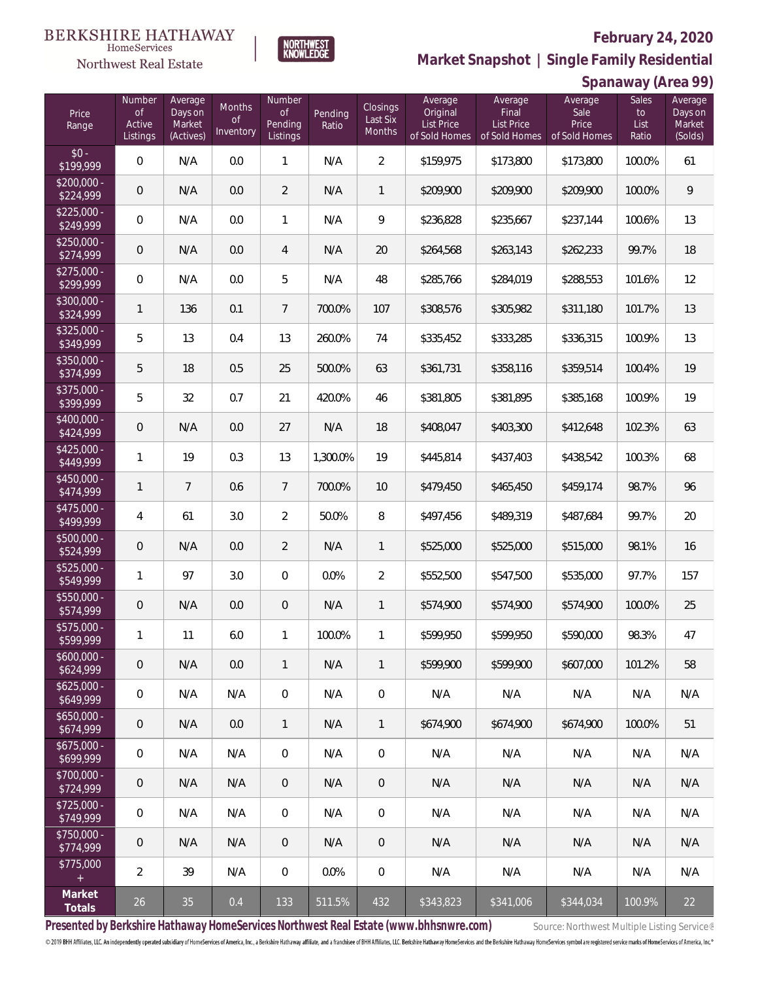## **February 24, 2020**



**Market Snapshot | Single Family Residential**

#### $\label{lem:sevices} \textsc{Home} \textsc{Service} \textsc{s}$ Northwest Real Estate

**BERKSHIRE HATHAWAY** 

|                           | Spanaway (Area 99)                 |                                           |                                  |                                            |                  |                                |                                                    |                                                        |                                           |                              |                                         |
|---------------------------|------------------------------------|-------------------------------------------|----------------------------------|--------------------------------------------|------------------|--------------------------------|----------------------------------------------------|--------------------------------------------------------|-------------------------------------------|------------------------------|-----------------------------------------|
| Price<br>Range            | Number<br>0f<br>Active<br>Listings | Average<br>Days on<br>Market<br>(Actives) | Months<br><b>of</b><br>Inventory | Number<br><b>of</b><br>Pending<br>Listings | Pending<br>Ratio | Closings<br>Last Six<br>Months | Average<br>Original<br>List Price<br>of Sold Homes | Average<br>Final<br><b>List Price</b><br>of Sold Homes | Average<br>Sale<br>Price<br>of Sold Homes | Sales<br>to<br>List<br>Ratio | Average<br>Days on<br>Market<br>(Solds) |
| $$0 -$<br>\$199,999       | $\mathbf 0$                        | N/A                                       | 0.0                              | $\mathbf{1}$                               | N/A              | $\overline{2}$                 | \$159,975                                          | \$173,800                                              | \$173,800                                 | 100.0%                       | 61                                      |
| $$200,000 -$<br>\$224,999 | $\mathsf{O}\xspace$                | N/A                                       | 0.0                              | $\overline{2}$                             | N/A              | 1                              | \$209,900                                          | \$209,900                                              | \$209,900                                 | 100.0%                       | 9                                       |
| $$225,000 -$<br>\$249,999 | 0                                  | N/A                                       | 0.0                              | $\mathbf{1}$                               | N/A              | 9                              | \$236,828                                          | \$235,667                                              | \$237,144                                 | 100.6%                       | 13                                      |
| $$250,000 -$<br>\$274,999 | $\mathsf{O}\xspace$                | N/A                                       | 0.0                              | 4                                          | N/A              | 20                             | \$264,568                                          | \$263,143                                              | \$262,233                                 | 99.7%                        | 18                                      |
| $$275,000 -$<br>\$299,999 | 0                                  | N/A                                       | 0.0                              | 5                                          | N/A              | 48                             | \$285,766                                          | \$284,019                                              | \$288,553                                 | 101.6%                       | 12                                      |
| \$300,000 -<br>\$324,999  | 1                                  | 136                                       | 0.1                              | $\overline{7}$                             | 700.0%           | 107                            | \$308,576                                          | \$305,982                                              | \$311,180                                 | 101.7%                       | 13                                      |
| \$325,000 -<br>\$349,999  | 5                                  | 13                                        | 0.4                              | 13                                         | 260.0%           | 74                             | \$335,452                                          | \$333,285                                              | \$336,315                                 | 100.9%                       | 13                                      |
| $$350,000 -$<br>\$374,999 | 5                                  | 18                                        | 0.5                              | 25                                         | 500.0%           | 63                             | \$361,731                                          | \$358,116                                              | \$359,514                                 | 100.4%                       | 19                                      |
| \$375,000 -<br>\$399,999  | 5                                  | 32                                        | 0.7                              | 21                                         | 420.0%           | 46                             | \$381,805                                          | \$381,895                                              | \$385,168                                 | 100.9%                       | 19                                      |
| \$400,000 -<br>\$424,999  | $\mathsf{O}\xspace$                | N/A                                       | 0.0                              | 27                                         | N/A              | 18                             | \$408,047                                          | \$403,300                                              | \$412,648                                 | 102.3%                       | 63                                      |
| \$425,000 -<br>\$449,999  | 1                                  | 19                                        | 0.3                              | 13                                         | 1,300.0%         | 19                             | \$445,814                                          | \$437,403                                              | \$438,542                                 | 100.3%                       | 68                                      |
| $$450,000 -$<br>\$474,999 | $\mathbf{1}$                       | $\overline{7}$                            | 0.6                              | $\overline{7}$                             | 700.0%           | 10                             | \$479,450                                          | \$465,450                                              | \$459,174                                 | 98.7%                        | 96                                      |
| $$475,000 -$<br>\$499,999 | $\overline{4}$                     | 61                                        | 3.0                              | $\overline{2}$                             | 50.0%            | 8                              | \$497,456                                          | \$489,319                                              | \$487,684                                 | 99.7%                        | $20\,$                                  |
| $$500,000 -$<br>\$524,999 | $\mathsf{O}\xspace$                | N/A                                       | 0.0                              | $\overline{2}$                             | N/A              | $\mathbf{1}$                   | \$525,000                                          | \$525,000                                              | \$515,000                                 | 98.1%                        | 16                                      |
| $$525,000 -$<br>\$549,999 | $\mathbf{1}$                       | 97                                        | 3.0                              | $\mathbf 0$                                | 0.0%             | $\overline{2}$                 | \$552,500                                          | \$547,500                                              | \$535,000                                 | 97.7%                        | 157                                     |
| $$550,000 -$<br>\$574,999 | $\mathsf{O}\xspace$                | N/A                                       | 0.0                              | $\theta$                                   | N/A              | 1                              | \$574,900                                          | \$574,900                                              | \$574,900                                 | 100.0%                       | 25                                      |
| \$575,000<br>\$599,999    | $\mathbf{1}$                       | 11                                        | 6.0                              | $\mathbf{1}$                               | 100.0%           | 1                              | \$599,950                                          | \$599,950                                              | \$590,000                                 | 98.3%                        | 47                                      |
| $$600.000 -$<br>\$624,999 | $\mathsf{O}\xspace$                | N/A                                       | 0.0                              | $\mathbf{1}$                               | N/A              | 1                              | \$599,900                                          | \$599,900                                              | \$607,000                                 | 101.2%                       | 58                                      |
| $$625,000 -$<br>\$649,999 | 0                                  | N/A                                       | N/A                              | $\overline{0}$                             | N/A              | $\mathbf 0$                    | N/A                                                | N/A                                                    | N/A                                       | N/A                          | N/A                                     |
| $$650,000 -$<br>\$674,999 | 0                                  | N/A                                       | 0.0                              | $\mathbf{1}$                               | N/A              | 1                              | \$674,900                                          | \$674,900                                              | \$674,900                                 | 100.0%                       | 51                                      |
| $$675,000 -$<br>\$699,999 | 0                                  | N/A                                       | N/A                              | $\overline{0}$                             | N/A              | $\boldsymbol{0}$               | N/A                                                | N/A                                                    | N/A                                       | N/A                          | N/A                                     |
| $$700,000 -$<br>\$724,999 | 0                                  | N/A                                       | N/A                              | $\overline{0}$                             | N/A              | $\overline{0}$                 | N/A                                                | N/A                                                    | N/A                                       | N/A                          | N/A                                     |
| $$725,000 -$<br>\$749,999 | 0                                  | N/A                                       | N/A                              | $\overline{0}$                             | N/A              | $\boldsymbol{0}$               | N/A                                                | N/A                                                    | N/A                                       | N/A                          | N/A                                     |
| $$750.000 -$<br>\$774,999 | 0                                  | N/A                                       | N/A                              | $\overline{0}$                             | N/A              | $\boldsymbol{0}$               | N/A                                                | N/A                                                    | N/A                                       | N/A                          | N/A                                     |
| \$775,000<br>$+$          | 2                                  | 39                                        | N/A                              | $\,0\,$                                    | 0.0%             | $\boldsymbol{0}$               | N/A                                                | N/A                                                    | N/A                                       | N/A                          | N/A                                     |
| Market<br>Totals          | 26                                 | 35                                        | 0.4                              | 133                                        | 511.5%           | 432                            | \$343,823                                          | \$341,006                                              | \$344,034                                 | 100.9%                       | 22                                      |

Presented by Berkshire Hathaway HomeServices Northwest Real Estate (www.bhhsnwre.com) Source: Northwest Multiple Listing Service®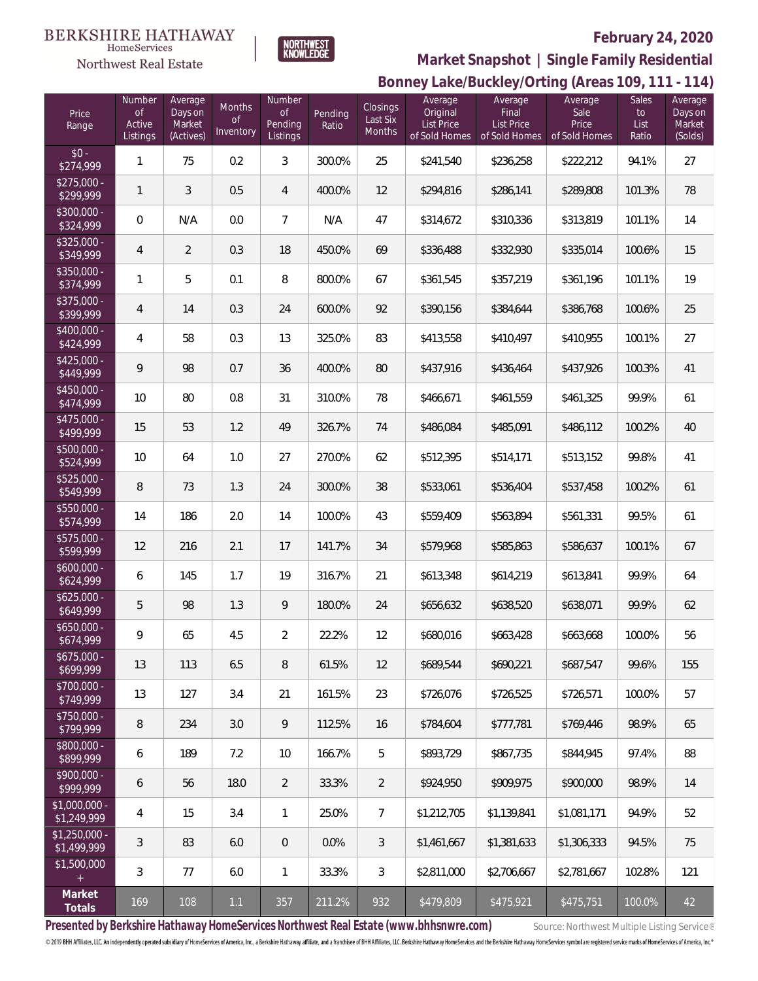#### **BERKSHIRE HATHAWAY** HomeServices



NORTHWEST<br>KNOWLEDGE

# **February 24, 2020**



| Price<br>Range                | Number<br><b>of</b><br>Active<br>Listings | Average<br>Days on<br>Market<br>(Actives) | Months<br>$\circ f$<br>Inventory | Number<br>$\mathsf{of}$<br>Pending<br>Listings | Pending<br>Ratio | Closings<br>Last Six<br>Months | Average<br>Original<br>List Price<br>of Sold Homes | Average<br>Final<br>List Price<br>of Sold Homes | Average<br>Sale<br>Price<br>of Sold Homes | Sales<br>to<br>List<br>Ratio | Average<br>Days on<br>Market<br>(Solds) |
|-------------------------------|-------------------------------------------|-------------------------------------------|----------------------------------|------------------------------------------------|------------------|--------------------------------|----------------------------------------------------|-------------------------------------------------|-------------------------------------------|------------------------------|-----------------------------------------|
| $$0 -$<br>\$274,999           | $\mathbf{1}$                              | 75                                        | 0.2                              | 3                                              | 300.0%           | 25                             | \$241,540                                          | \$236,258                                       | \$222,212                                 | 94.1%                        | 27                                      |
| $$275,000 -$<br>\$299,999     | $\mathbf{1}$                              | 3                                         | 0.5                              | $\overline{4}$                                 | 400.0%           | 12                             | \$294,816                                          | \$286,141                                       | \$289,808                                 | 101.3%                       | 78                                      |
| \$300,000 -<br>\$324,999      | $\boldsymbol{0}$                          | N/A                                       | 0.0                              | $\overline{7}$                                 | N/A              | 47                             | \$314,672                                          | \$310,336                                       | \$313,819                                 | 101.1%                       | 14                                      |
| $$325,000 -$<br>\$349,999     | $\overline{4}$                            | 2                                         | 0.3                              | 18                                             | 450.0%           | 69                             | \$336,488                                          | \$332,930                                       | \$335,014                                 | 100.6%                       | 15                                      |
| \$350,000 -<br>\$374,999      | $\mathbf{1}$                              | 5                                         | 0.1                              | 8                                              | 800.0%           | 67                             | \$361,545                                          | \$357,219                                       | \$361,196                                 | 101.1%                       | 19                                      |
| \$375,000 -<br>\$399,999      | $\overline{4}$                            | 14                                        | 0.3                              | 24                                             | 600.0%           | 92                             | \$390,156                                          | \$384,644                                       | \$386,768                                 | 100.6%                       | 25                                      |
| \$400,000 -<br>\$424,999      | $\overline{4}$                            | 58                                        | 0.3                              | 13                                             | 325.0%           | 83                             | \$413,558                                          | \$410,497                                       | \$410,955                                 | 100.1%                       | 27                                      |
| $$425,000 -$<br>\$449,999     | 9                                         | 98                                        | 0.7                              | 36                                             | 400.0%           | 80                             | \$437,916                                          | \$436,464                                       | \$437,926                                 | 100.3%                       | 41                                      |
| \$450,000 -<br>\$474,999      | 10                                        | 80                                        | 0.8                              | 31                                             | 310.0%           | 78                             | \$466,671                                          | \$461,559                                       | \$461,325                                 | 99.9%                        | 61                                      |
| \$475,000 -<br>\$499,999      | 15                                        | 53                                        | 1.2                              | 49                                             | 326.7%           | 74                             | \$486,084                                          | \$485,091                                       | \$486,112                                 | 100.2%                       | 40                                      |
| \$500,000 -<br>\$524,999      | $10$                                      | 64                                        | 1.0                              | 27                                             | 270.0%           | 62                             | \$512,395                                          | \$514,171                                       | \$513,152                                 | 99.8%                        | 41                                      |
| \$525,000 -<br>\$549,999      | 8                                         | 73                                        | 1.3                              | 24                                             | 300.0%           | 38                             | \$533,061                                          | \$536,404                                       | \$537,458                                 | 100.2%                       | 61                                      |
| \$550,000 -<br>\$574,999      | 14                                        | 186                                       | 2.0                              | 14                                             | 100.0%           | 43                             | \$559,409                                          | \$563,894                                       | \$561,331                                 | 99.5%                        | 61                                      |
| \$575,000 -<br>\$599,999      | 12                                        | 216                                       | 2.1                              | 17                                             | 141.7%           | 34                             | \$579,968                                          | \$585,863                                       | \$586,637                                 | 100.1%                       | 67                                      |
| $$600,000 -$<br>\$624,999     | 6                                         | 145                                       | 1.7                              | 19                                             | 316.7%           | 21                             | \$613,348                                          | \$614,219                                       | \$613,841                                 | 99.9%                        | 64                                      |
| $$625,000 -$<br>\$649,999     | 5                                         | 98                                        | 1.3                              | 9                                              | 180.0%           | 24                             | \$656,632                                          | \$638,520                                       | \$638,071                                 | 99.9%                        | 62                                      |
| \$650,000 -<br>\$674,999      | 9                                         | 65                                        | 4.5                              | $\overline{2}$                                 | 22.2%            | 12                             | \$680,016                                          | \$663,428                                       | \$663,668                                 | 100.0%                       | 56                                      |
| $$675,000 -$<br>\$699,999     | 13                                        | 113                                       | 6.5                              | 8                                              | 61.5%            | 12                             | \$689,544                                          | \$690,221                                       | \$687,547                                 | 99.6%                        | 155                                     |
| \$700,000 -<br>\$749,999      | 13                                        | 127                                       | 3.4                              | 21                                             | 161.5%           | 23                             | \$726,076                                          | \$726,525                                       | \$726,571                                 | 100.0%                       | 57                                      |
| $$750,000 -$<br>\$799,999     | 8                                         | 234                                       | 3.0                              | 9                                              | 112.5%           | 16                             | \$784.604                                          | \$777,781                                       | \$769,446                                 | 98.9%                        | 65                                      |
| \$800,000 -<br>\$899,999      | 6                                         | 189                                       | 7.2                              | 10                                             | 166.7%           | 5                              | \$893,729                                          | \$867,735                                       | \$844,945                                 | 97.4%                        | 88                                      |
| \$900,000 -<br>\$999,999      | 6                                         | 56                                        | 18.0                             | $\overline{2}$                                 | 33.3%            | $\overline{2}$                 | \$924.950                                          | \$909,975                                       | \$900,000                                 | 98.9%                        | 14                                      |
| \$1,000,000 -<br>\$1,249,999  | $\overline{4}$                            | 15                                        | 3.4                              | $\mathbf{1}$                                   | 25.0%            | $\overline{7}$                 | \$1,212,705                                        | \$1,139,841                                     | \$1,081,171                               | 94.9%                        | 52                                      |
| $$1,250,000 -$<br>\$1,499,999 | 3                                         | 83                                        | 6.0                              | $\overline{0}$                                 | 0.0%             | 3                              | \$1,461,667                                        | \$1,381,633                                     | \$1,306,333                               | 94.5%                        | 75                                      |
| \$1,500,000<br>$+$            | $\mathfrak{Z}$                            | 77                                        | 6.0                              | $\mathbf{1}$                                   | 33.3%            | $\mathfrak{Z}$                 | \$2,811,000                                        | \$2,706,667                                     | \$2,781,667                               | 102.8%                       | 121                                     |
| Market<br>Totals              | 169                                       | 108                                       | 1.1                              | 357                                            | 211.2%           | 932                            | \$479,809                                          | \$475,921                                       | \$475,751                                 | 100.0%                       | 42                                      |

Presented by Berkshire Hathaway HomeServices Northwest Real Estate (www.bhhsnwre.com) Source: Northwest Multiple Listing Service®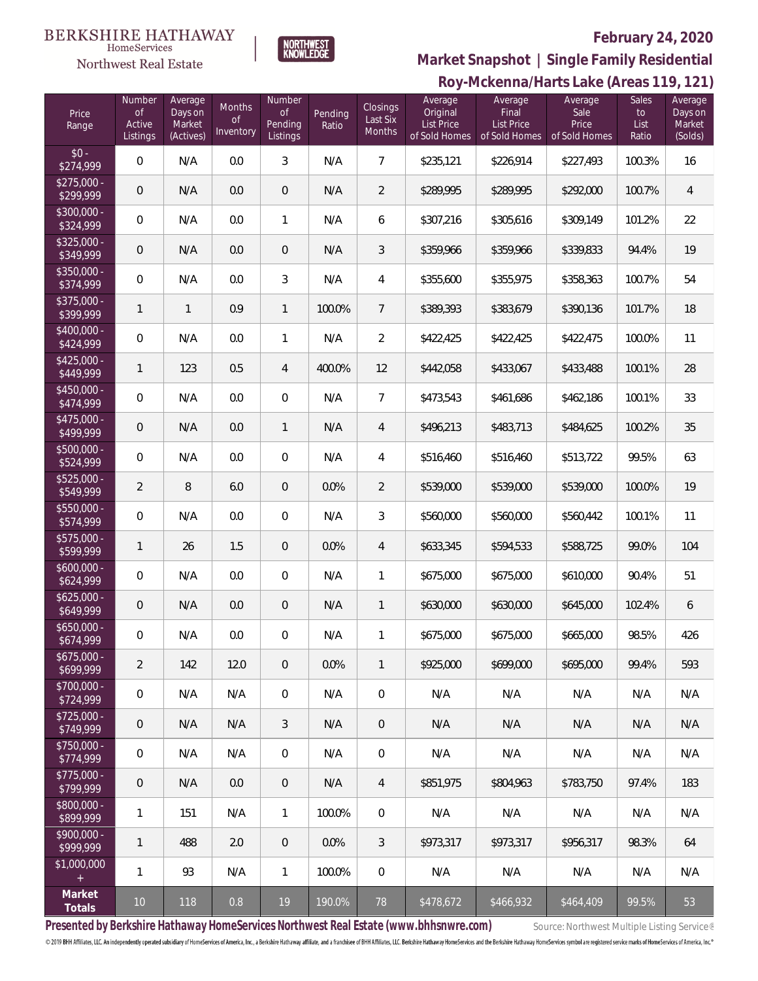#### **BERKSHIRE HATHAWAY**  $\label{lem:sevices} \textsc{Home} \textsc{Service} \textsc{s}$

# Northwest Real Estate

# **February 24, 2020**



**Roy-Mckenna/Harts Lake (Areas 119, 121) Market Snapshot | Single Family Residential**

| Price<br>Range                    | Number<br>0f<br>Active<br>Listings | Average<br>Days on<br>Market<br>(Actives) | Months<br><b>of</b><br>Inventory | Number<br><b>of</b><br>Pending<br>Listings | Pending<br>Ratio | Closings<br>Last Six<br>Months | Average<br>Original<br><b>List Price</b><br>of Sold Homes | Average<br>Final<br><b>List Price</b><br>of Sold Homes | Average<br>Sale<br>Price<br>of Sold Homes | Sales<br>to<br>List<br>Ratio | Average<br>Days on<br>Market<br>(Solds) |
|-----------------------------------|------------------------------------|-------------------------------------------|----------------------------------|--------------------------------------------|------------------|--------------------------------|-----------------------------------------------------------|--------------------------------------------------------|-------------------------------------------|------------------------------|-----------------------------------------|
| $$0 -$<br>\$274,999               | 0                                  | N/A                                       | 0.0                              | 3                                          | N/A              | $\overline{7}$                 | \$235,121                                                 | \$226,914                                              | \$227,493                                 | 100.3%                       | 16                                      |
| $$275,000 -$<br>\$299,999         | $\theta$                           | N/A                                       | 0.0                              | $\overline{0}$                             | N/A              | $\overline{2}$                 | \$289,995                                                 | \$289,995                                              | \$292,000                                 | 100.7%                       | $\overline{4}$                          |
| $$300,000 -$<br>\$324,999         | 0                                  | N/A                                       | 0.0                              | $\mathbf{1}$                               | N/A              | 6                              | \$307,216                                                 | \$305,616                                              | \$309,149                                 | 101.2%                       | 22                                      |
| $$325,000 -$<br>\$349,999         | $\theta$                           | N/A                                       | 0.0                              | $\overline{0}$                             | N/A              | 3                              | \$359,966                                                 | \$359,966                                              | \$339,833                                 | 94.4%                        | 19                                      |
| $$350,000 -$<br>\$374,999         | 0                                  | N/A                                       | 0.0                              | 3                                          | N/A              | 4                              | \$355,600                                                 | \$355,975                                              | \$358,363                                 | 100.7%                       | 54                                      |
| $$375,000 -$<br>\$399,999         | 1                                  | 1                                         | 0.9                              | $\mathbf{1}$                               | 100.0%           | $\overline{7}$                 | \$389,393                                                 | \$383,679                                              | \$390,136                                 | 101.7%                       | 18                                      |
| $$400,000 -$<br>\$424,999         | 0                                  | N/A                                       | 0.0                              | $\mathbf{1}$                               | N/A              | $\overline{2}$                 | \$422,425                                                 | \$422,425                                              | \$422,475                                 | 100.0%                       | 11                                      |
| $$425,000 -$<br>$\sqrt{$449,999}$ | 1                                  | 123                                       | 0.5                              | 4                                          | 400.0%           | 12                             | \$442,058                                                 | \$433,067                                              | \$433,488                                 | 100.1%                       | 28                                      |
| \$450,000 -<br>\$474,999          | 0                                  | N/A                                       | 0.0                              | $\mathbf 0$                                | N/A              | $\overline{7}$                 | \$473,543                                                 | \$461,686                                              | \$462,186                                 | 100.1%                       | 33                                      |
| $$475,000 -$<br>\$499,999         | $\mathsf{O}\xspace$                | N/A                                       | 0.0                              | $\mathbf{1}$                               | N/A              | $\overline{4}$                 | \$496,213                                                 | \$483,713                                              | \$484,625                                 | 100.2%                       | 35                                      |
| $$500,000 -$<br>\$524,999         | 0                                  | N/A                                       | 0.0                              | $\mathbf 0$                                | N/A              | 4                              | \$516,460                                                 | \$516,460                                              | \$513,722                                 | 99.5%                        | 63                                      |
| $$525,000 -$<br>\$549,999         | 2                                  | 8                                         | 6.0                              | $\overline{0}$                             | 0.0%             | 2                              | \$539,000                                                 | \$539,000                                              | \$539,000                                 | 100.0%                       | 19                                      |
| $$550,000 -$<br>\$574,999         | 0                                  | N/A                                       | 0.0                              | $\mathbf 0$                                | N/A              | 3                              | \$560,000                                                 | \$560,000                                              | \$560,442                                 | 100.1%                       | 11                                      |
| $$575,000 -$<br>\$599,999         | 1                                  | 26                                        | 1.5                              | $\overline{0}$                             | 0.0%             | $\overline{4}$                 | \$633,345                                                 | \$594,533                                              | \$588,725                                 | 99.0%                        | 104                                     |
| $$600,000 -$<br>\$624,999         | 0                                  | N/A                                       | 0.0                              | $\mathbf 0$                                | N/A              | 1                              | \$675,000                                                 | \$675,000                                              | \$610,000                                 | 90.4%                        | 51                                      |
| $$625,000 -$<br>\$649,999         | 0                                  | N/A                                       | 0.0                              | $\overline{0}$                             | N/A              | 1                              | \$630,000                                                 | \$630,000                                              | \$645,000                                 | 102.4%                       | 6                                       |
| $$650,000 -$<br>\$674,999         | 0                                  | N/A                                       | 0.0                              | $\overline{0}$                             | N/A              | 1                              | \$675,000                                                 | \$675,000                                              | \$665,000                                 | 98.5%                        | 426                                     |
| $$675,000 -$<br>\$699,999         | $\overline{2}$                     | 142                                       | 12.0                             | $\overline{0}$                             | 0.0%             | 1                              | \$925,000                                                 | \$699,000                                              | \$695,000                                 | 99.4%                        | 593                                     |
| $$700.000 -$<br>\$724,999         | 0                                  | N/A                                       | N/A                              | $\overline{0}$                             | N/A              | $\mathbf 0$                    | N/A                                                       | N/A                                                    | N/A                                       | N/A                          | N/A                                     |
| $$725,000 -$<br>\$749,999         | 0                                  | N/A                                       | N/A                              | $\mathfrak{Z}$                             | N/A              | $\overline{0}$                 | N/A                                                       | N/A                                                    | N/A                                       | N/A                          | N/A                                     |
| $$750,000 -$<br>\$774,999         | 0                                  | N/A                                       | N/A                              | $\overline{0}$                             | N/A              | $\mathbf 0$                    | N/A                                                       | N/A                                                    | N/A                                       | N/A                          | N/A                                     |
| $$775,000 -$<br>\$799,999         | 0                                  | N/A                                       | 0.0                              | $\overline{0}$                             | N/A              | 4                              | \$851,975                                                 | \$804,963                                              | \$783,750                                 | 97.4%                        | 183                                     |
| $$800,000 -$<br>\$899,999         | 1                                  | 151                                       | N/A                              | $\mathbf{1}$                               | 100.0%           | $\boldsymbol{0}$               | N/A                                                       | N/A                                                    | N/A                                       | N/A                          | N/A                                     |
| $$900.000 -$<br>\$999,999         | 1                                  | 488                                       | 2.0                              | $\overline{0}$                             | 0.0%             | 3                              | \$973,317                                                 | \$973,317                                              | \$956,317                                 | 98.3%                        | 64                                      |
| \$1,000,000<br>$+$                | 1                                  | 93                                        | N/A                              | $\mathbf{1}$                               | 100.0%           | $\mathbf 0$                    | N/A                                                       | N/A                                                    | N/A                                       | N/A                          | N/A                                     |
| Market<br>Totals                  | 10                                 | 118                                       | 0.8                              | 19                                         | 190.0%           | 78                             | \$478,672                                                 | \$466,932                                              | \$464,409                                 | 99.5%                        | 53                                      |

Presented by Berkshire Hathaway HomeServices Northwest Real Estate (www.bhhsnwre.com) Source: Northwest Multiple Listing Service®